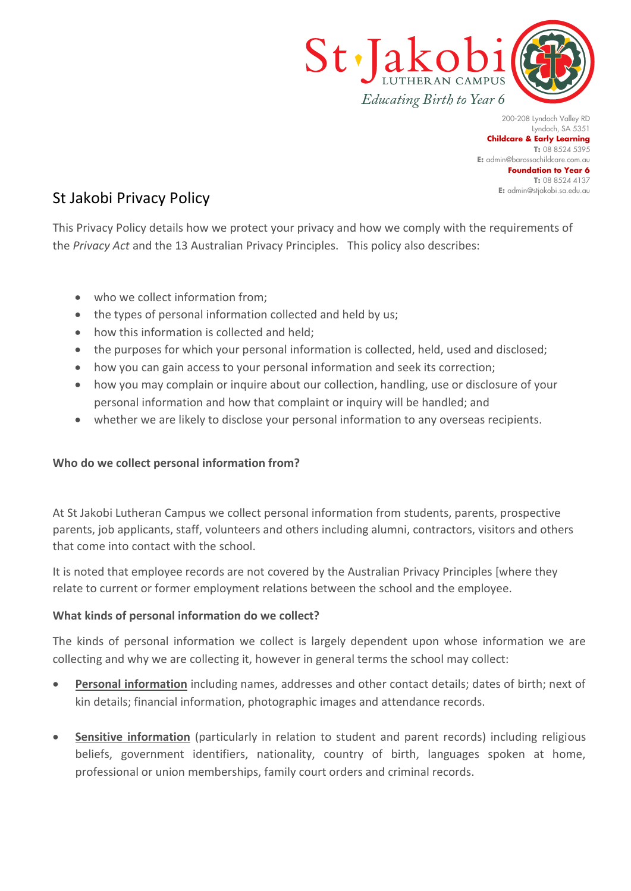

200-208 Lyndoch Valley RD Lyndoch, SA 5351 **Childcare & Early Learning T:** 08 8524 5395 **E:** [admin@barossachildcare.com.au](mailto:admin@barossachildcare.com.au) **Foundation to Year 6 T:** 08 8524 4137 **E:** admin@stjakobi.sa.edu.au

# St Jakobi Privacy Policy

This Privacy Policy details how we protect your privacy and how we comply with the requirements of the *Privacy Act* and the 13 Australian Privacy Principles. This policy also describes:

- who we collect information from;
- the types of personal information collected and held by us;
- how this information is collected and held:
- the purposes for which your personal information is collected, held, used and disclosed;
- how you can gain access to your personal information and seek its correction;
- how you may complain or inquire about our collection, handling, use or disclosure of your personal information and how that complaint or inquiry will be handled; and
- whether we are likely to disclose your personal information to any overseas recipients.

# **Who do we collect personal information from?**

At St Jakobi Lutheran Campus we collect personal information from students, parents, prospective parents, job applicants, staff, volunteers and others including alumni, contractors, visitors and others that come into contact with the school.

It is noted that employee records are not covered by the Australian Privacy Principles [where they relate to current or former employment relations between the school and the employee.

# **What kinds of personal information do we collect?**

The kinds of personal information we collect is largely dependent upon whose information we are collecting and why we are collecting it, however in general terms the school may collect:

- **Personal information** including names, addresses and other contact details; dates of birth; next of kin details; financial information, photographic images and attendance records.
- **Sensitive information** (particularly in relation to student and parent records) including religious beliefs, government identifiers, nationality, country of birth, languages spoken at home, professional or union memberships, family court orders and criminal records.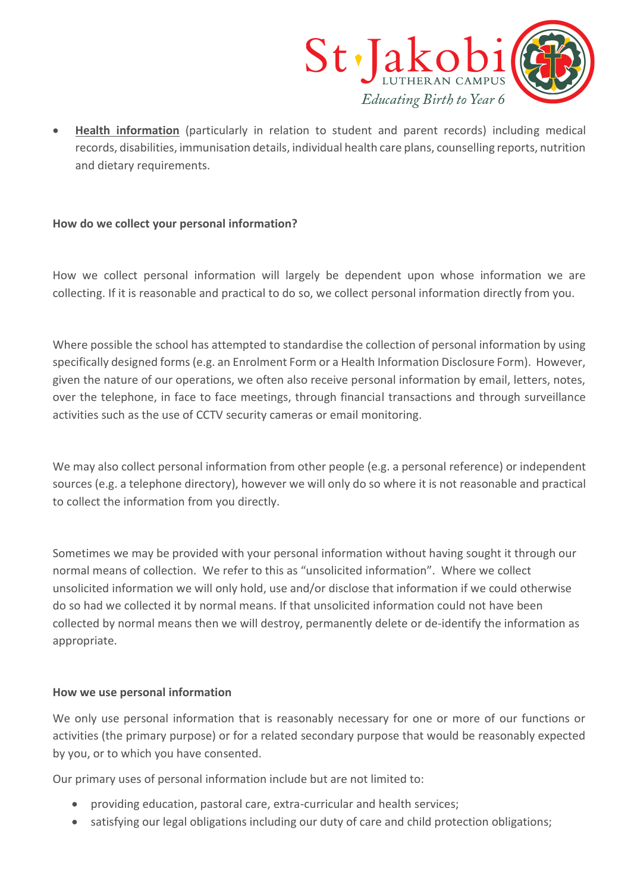

• **Health information** (particularly in relation to student and parent records) including medical records, disabilities, immunisation details, individual health care plans, counselling reports, nutrition and dietary requirements.

# **How do we collect your personal information?**

How we collect personal information will largely be dependent upon whose information we are collecting. If it is reasonable and practical to do so, we collect personal information directly from you.

Where possible the school has attempted to standardise the collection of personal information by using specifically designed forms (e.g. an Enrolment Form or a Health Information Disclosure Form). However, given the nature of our operations, we often also receive personal information by email, letters, notes, over the telephone, in face to face meetings, through financial transactions and through surveillance activities such as the use of CCTV security cameras or email monitoring.

We may also collect personal information from other people (e.g. a personal reference) or independent sources (e.g. a telephone directory), however we will only do so where it is not reasonable and practical to collect the information from you directly.

Sometimes we may be provided with your personal information without having sought it through our normal means of collection. We refer to this as "unsolicited information". Where we collect unsolicited information we will only hold, use and/or disclose that information if we could otherwise do so had we collected it by normal means. If that unsolicited information could not have been collected by normal means then we will destroy, permanently delete or de-identify the information as appropriate.

# **How we use personal information**

We only use personal information that is reasonably necessary for one or more of our functions or activities (the primary purpose) or for a related secondary purpose that would be reasonably expected by you, or to which you have consented.

Our primary uses of personal information include but are not limited to:

- providing education, pastoral care, extra-curricular and health services;
- satisfying our legal obligations including our duty of care and child protection obligations;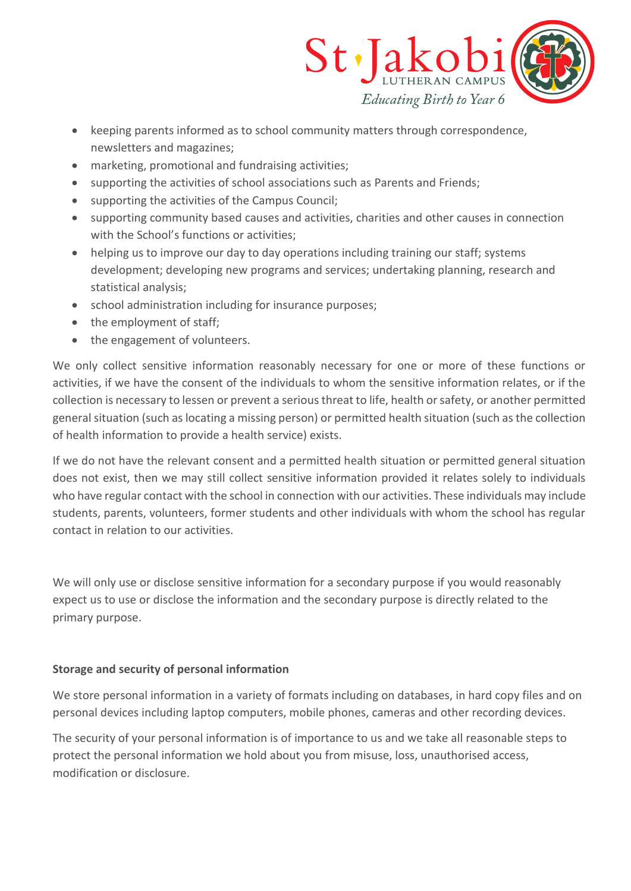

- keeping parents informed as to school community matters through correspondence, newsletters and magazines;
- marketing, promotional and fundraising activities;
- supporting the activities of school associations such as Parents and Friends;
- supporting the activities of the Campus Council;
- supporting community based causes and activities, charities and other causes in connection with the School's functions or activities;
- helping us to improve our day to day operations including training our staff; systems development; developing new programs and services; undertaking planning, research and statistical analysis;
- school administration including for insurance purposes;
- the employment of staff;
- the engagement of volunteers.

We only collect sensitive information reasonably necessary for one or more of these functions or activities, if we have the consent of the individuals to whom the sensitive information relates, or if the collection is necessary to lessen or prevent a serious threat to life, health or safety, or another permitted general situation (such as locating a missing person) or permitted health situation (such as the collection of health information to provide a health service) exists.

If we do not have the relevant consent and a permitted health situation or permitted general situation does not exist, then we may still collect sensitive information provided it relates solely to individuals who have regular contact with the school in connection with our activities. These individuals may include students, parents, volunteers, former students and other individuals with whom the school has regular contact in relation to our activities.

We will only use or disclose sensitive information for a secondary purpose if you would reasonably expect us to use or disclose the information and the secondary purpose is directly related to the primary purpose.

# **Storage and security of personal information**

We store personal information in a variety of formats including on databases, in hard copy files and on personal devices including laptop computers, mobile phones, cameras and other recording devices.

The security of your personal information is of importance to us and we take all reasonable steps to protect the personal information we hold about you from misuse, loss, unauthorised access, modification or disclosure.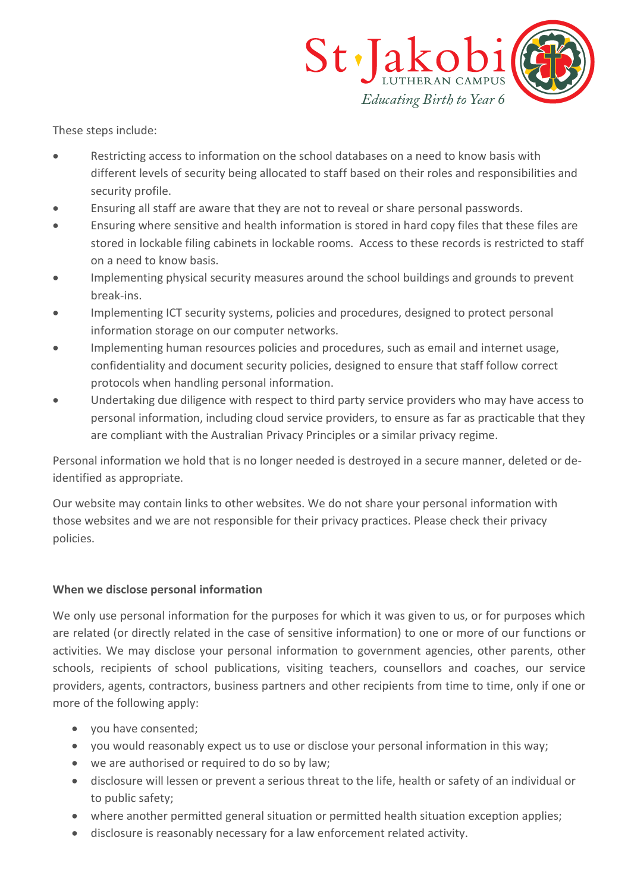

These steps include:

- Restricting access to information on the school databases on a need to know basis with different levels of security being allocated to staff based on their roles and responsibilities and security profile.
- Ensuring all staff are aware that they are not to reveal or share personal passwords.
- Ensuring where sensitive and health information is stored in hard copy files that these files are stored in lockable filing cabinets in lockable rooms. Access to these records is restricted to staff on a need to know basis.
- Implementing physical security measures around the school buildings and grounds to prevent break-ins.
- Implementing ICT security systems, policies and procedures, designed to protect personal information storage on our computer networks.
- Implementing human resources policies and procedures, such as email and internet usage, confidentiality and document security policies, designed to ensure that staff follow correct protocols when handling personal information.
- Undertaking due diligence with respect to third party service providers who may have access to personal information, including cloud service providers, to ensure as far as practicable that they are compliant with the Australian Privacy Principles or a similar privacy regime.

Personal information we hold that is no longer needed is destroyed in a secure manner, deleted or deidentified as appropriate.

Our website may contain links to other websites. We do not share your personal information with those websites and we are not responsible for their privacy practices. Please check their privacy policies.

# **When we disclose personal information**

We only use personal information for the purposes for which it was given to us, or for purposes which are related (or directly related in the case of sensitive information) to one or more of our functions or activities. We may disclose your personal information to government agencies, other parents, other schools, recipients of school publications, visiting teachers, counsellors and coaches, our service providers, agents, contractors, business partners and other recipients from time to time, only if one or more of the following apply:

- you have consented;
- you would reasonably expect us to use or disclose your personal information in this way;
- we are authorised or required to do so by law;
- disclosure will lessen or prevent a serious threat to the life, health or safety of an individual or to public safety;
- where another permitted general situation or permitted health situation exception applies;
- disclosure is reasonably necessary for a law enforcement related activity.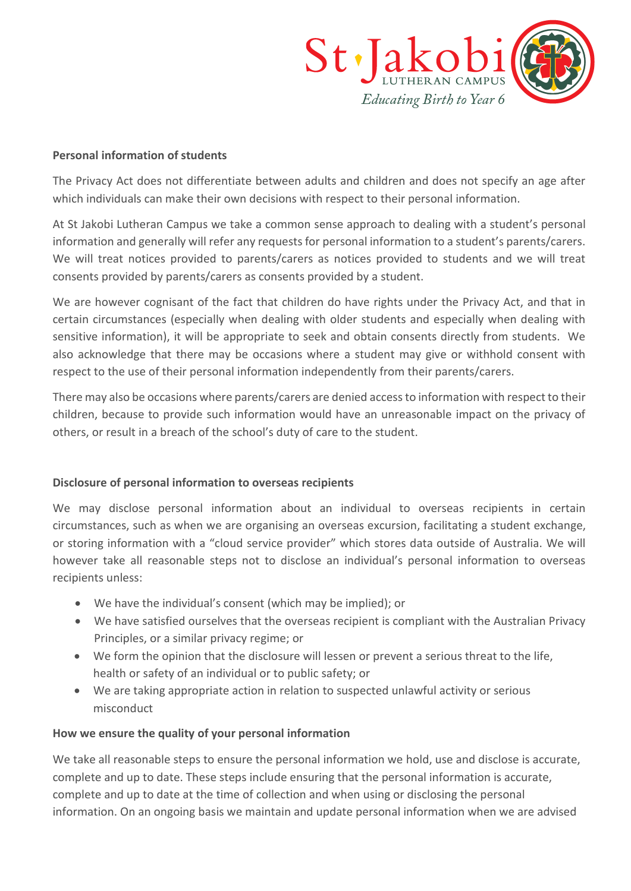

#### **Personal information of students**

The Privacy Act does not differentiate between adults and children and does not specify an age after which individuals can make their own decisions with respect to their personal information.

At St Jakobi Lutheran Campus we take a common sense approach to dealing with a student's personal information and generally will refer any requests for personal information to a student's parents/carers. We will treat notices provided to parents/carers as notices provided to students and we will treat consents provided by parents/carers as consents provided by a student.

We are however cognisant of the fact that children do have rights under the Privacy Act, and that in certain circumstances (especially when dealing with older students and especially when dealing with sensitive information), it will be appropriate to seek and obtain consents directly from students. We also acknowledge that there may be occasions where a student may give or withhold consent with respect to the use of their personal information independently from their parents/carers.

There may also be occasions where parents/carers are denied access to information with respect to their children, because to provide such information would have an unreasonable impact on the privacy of others, or result in a breach of the school's duty of care to the student.

# **Disclosure of personal information to overseas recipients**

We may disclose personal information about an individual to overseas recipients in certain circumstances, such as when we are organising an overseas excursion, facilitating a student exchange, or storing information with a "cloud service provider" which stores data outside of Australia. We will however take all reasonable steps not to disclose an individual's personal information to overseas recipients unless:

- We have the individual's consent (which may be implied); or
- We have satisfied ourselves that the overseas recipient is compliant with the Australian Privacy Principles, or a similar privacy regime; or
- We form the opinion that the disclosure will lessen or prevent a serious threat to the life, health or safety of an individual or to public safety; or
- We are taking appropriate action in relation to suspected unlawful activity or serious misconduct

#### **How we ensure the quality of your personal information**

We take all reasonable steps to ensure the personal information we hold, use and disclose is accurate, complete and up to date. These steps include ensuring that the personal information is accurate, complete and up to date at the time of collection and when using or disclosing the personal information. On an ongoing basis we maintain and update personal information when we are advised